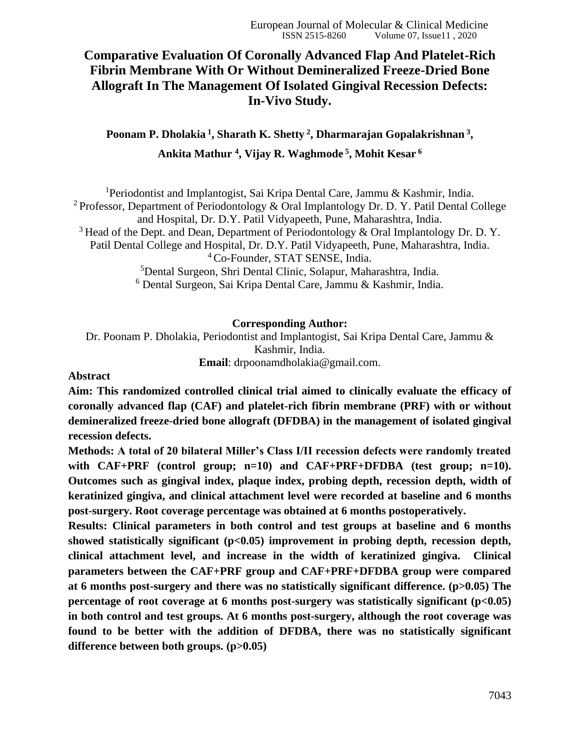# **Comparative Evaluation Of Coronally Advanced Flap And Platelet-Rich Fibrin Membrane With Or Without Demineralized Freeze-Dried Bone Allograft In The Management Of Isolated Gingival Recession Defects: In-Vivo Study.**

**Poonam P. Dholakia <sup>1</sup> , Sharath K. Shetty <sup>2</sup> , Dharmarajan Gopalakrishnan <sup>3</sup> , Ankita Mathur <sup>4</sup> , Vijay R. Waghmode <sup>5</sup> , Mohit Kesar <sup>6</sup>**

<sup>1</sup>Periodontist and Implantogist, Sai Kripa Dental Care, Jammu & Kashmir, India. <sup>2</sup> Professor, Department of Periodontology & Oral Implantology Dr. D. Y. Patil Dental College and Hospital, Dr. D.Y. Patil Vidyapeeth, Pune, Maharashtra, India. <sup>3</sup> Head of the Dept. and Dean, Department of Periodontology & Oral Implantology Dr. D. Y. Patil Dental College and Hospital, Dr. D.Y. Patil Vidyapeeth, Pune, Maharashtra, India. <sup>4</sup> Co-Founder, STAT SENSE, India. <sup>5</sup>Dental Surgeon, Shri Dental Clinic, Solapur, Maharashtra, India. <sup>6</sup> Dental Surgeon, Sai Kripa Dental Care, Jammu & Kashmir, India.

#### **Corresponding Author:**

Dr. Poonam P. Dholakia, Periodontist and Implantogist, Sai Kripa Dental Care, Jammu & Kashmir, India. **Email**: drpoonamdholakia@gmail.com.

### **Abstract**

**Aim: This randomized controlled clinical trial aimed to clinically evaluate the efficacy of coronally advanced flap (CAF) and platelet-rich fibrin membrane (PRF) with or without demineralized freeze-dried bone allograft (DFDBA) in the management of isolated gingival recession defects.** 

**Methods: A total of 20 bilateral Miller's Class I/II recession defects were randomly treated with CAF+PRF (control group; n=10) and CAF+PRF+DFDBA (test group; n=10). Outcomes such as gingival index, plaque index, probing depth, recession depth, width of keratinized gingiva, and clinical attachment level were recorded at baseline and 6 months post-surgery. Root coverage percentage was obtained at 6 months postoperatively.** 

**Results: Clinical parameters in both control and test groups at baseline and 6 months**  showed statistically significant (p<0.05) improvement in probing depth, recession depth, **clinical attachment level, and increase in the width of keratinized gingiva. Clinical parameters between the CAF+PRF group and CAF+PRF+DFDBA group were compared at 6 months post-surgery and there was no statistically significant difference. (p>0.05) The percentage of root coverage at 6 months post-surgery was statistically significant (p<0.05) in both control and test groups. At 6 months post-surgery, although the root coverage was found to be better with the addition of DFDBA, there was no statistically significant difference between both groups. (p>0.05)**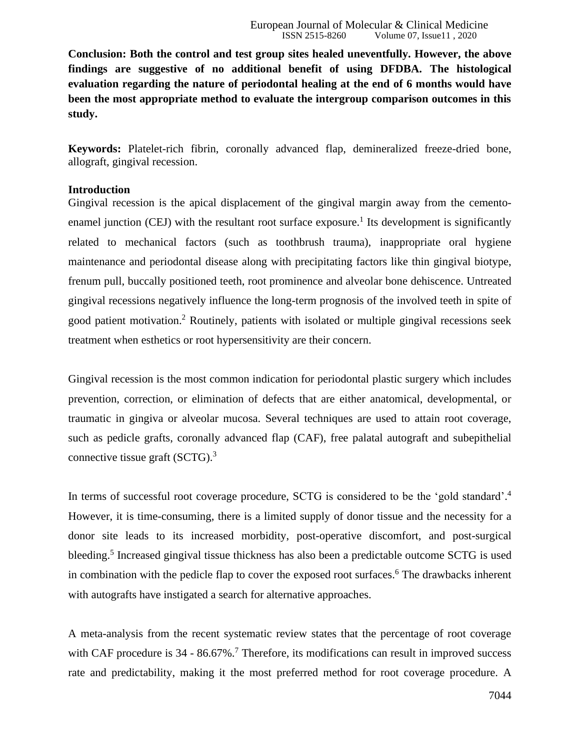**Conclusion: Both the control and test group sites healed uneventfully. However, the above findings are suggestive of no additional benefit of using DFDBA. The histological evaluation regarding the nature of periodontal healing at the end of 6 months would have been the most appropriate method to evaluate the intergroup comparison outcomes in this study.**

**Keywords:** Platelet-rich fibrin, coronally advanced flap, demineralized freeze-dried bone, allograft, gingival recession.

### **Introduction**

Gingival recession is the apical displacement of the gingival margin away from the cementoenamel junction (CEJ) with the resultant root surface exposure.<sup>1</sup> Its development is significantly related to mechanical factors (such as toothbrush trauma), inappropriate oral hygiene maintenance and periodontal disease along with precipitating factors like thin gingival biotype, frenum pull, buccally positioned teeth, root prominence and alveolar bone dehiscence. Untreated gingival recessions negatively influence the long-term prognosis of the involved teeth in spite of good patient motivation.<sup>2</sup> Routinely, patients with isolated or multiple gingival recessions seek treatment when esthetics or root hypersensitivity are their concern.

Gingival recession is the most common indication for periodontal plastic surgery which includes prevention, correction, or elimination of defects that are either anatomical, developmental, or traumatic in gingiva or alveolar mucosa. Several techniques are used to attain root coverage, such as pedicle grafts, coronally advanced flap (CAF), free palatal autograft and subepithelial connective tissue graft (SCTG).<sup>3</sup>

In terms of successful root coverage procedure, SCTG is considered to be the 'gold standard'.<sup>4</sup> However, it is time-consuming, there is a limited supply of donor tissue and the necessity for a donor site leads to its increased morbidity, post-operative discomfort, and post-surgical bleeding.<sup>5</sup> Increased gingival tissue thickness has also been a predictable outcome SCTG is used in combination with the pedicle flap to cover the exposed root surfaces.<sup>6</sup> The drawbacks inherent with autografts have instigated a search for alternative approaches.

A meta-analysis from the recent systematic review states that the percentage of root coverage with CAF procedure is  $34 - 86.67\%$ .<sup>7</sup> Therefore, its modifications can result in improved success rate and predictability, making it the most preferred method for root coverage procedure. A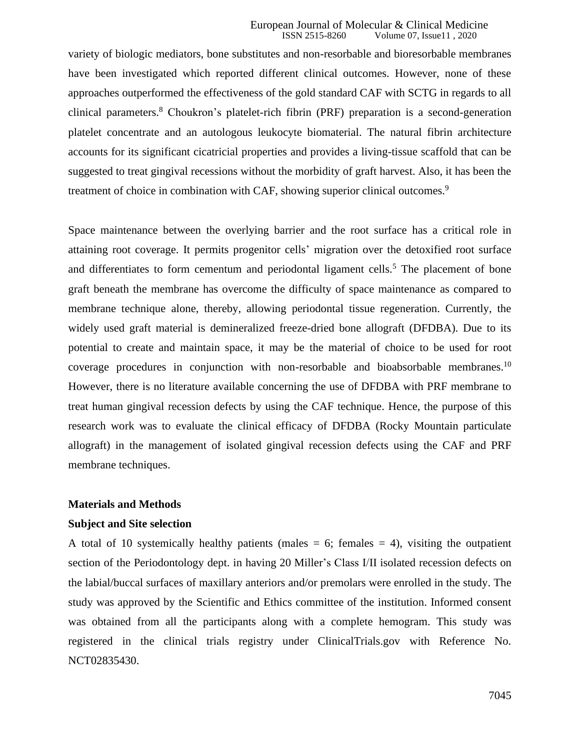#### European Journal of Molecular & Clinical Medicine<br>ISSN 2515-8260 Volume 07. Issue 11, 2020 Volume 07, Issue11, 2020

variety of biologic mediators, bone substitutes and non-resorbable and bioresorbable membranes have been investigated which reported different clinical outcomes. However, none of these approaches outperformed the effectiveness of the gold standard CAF with SCTG in regards to all clinical parameters.<sup>8</sup> Choukron's platelet-rich fibrin (PRF) preparation is a second-generation platelet concentrate and an autologous leukocyte biomaterial. The natural fibrin architecture accounts for its significant cicatricial properties and provides a living-tissue scaffold that can be suggested to treat gingival recessions without the morbidity of graft harvest. Also, it has been the treatment of choice in combination with CAF, showing superior clinical outcomes.<sup>9</sup>

Space maintenance between the overlying barrier and the root surface has a critical role in attaining root coverage. It permits progenitor cells' migration over the detoxified root surface and differentiates to form cementum and periodontal ligament cells.<sup>5</sup> The placement of bone graft beneath the membrane has overcome the difficulty of space maintenance as compared to membrane technique alone, thereby, allowing periodontal tissue regeneration. Currently, the widely used graft material is demineralized freeze-dried bone allograft (DFDBA). Due to its potential to create and maintain space, it may be the material of choice to be used for root coverage procedures in conjunction with non-resorbable and bioabsorbable membranes.<sup>10</sup> However, there is no literature available concerning the use of DFDBA with PRF membrane to treat human gingival recession defects by using the CAF technique. Hence, the purpose of this research work was to evaluate the clinical efficacy of DFDBA (Rocky Mountain particulate allograft) in the management of isolated gingival recession defects using the CAF and PRF membrane techniques.

### **Materials and Methods**

#### **Subject and Site selection**

A total of 10 systemically healthy patients (males  $= 6$ ; females  $= 4$ ), visiting the outpatient section of the Periodontology dept. in having 20 Miller's Class I/II isolated recession defects on the labial/buccal surfaces of maxillary anteriors and/or premolars were enrolled in the study. The study was approved by the Scientific and Ethics committee of the institution. Informed consent was obtained from all the participants along with a complete hemogram. This study was registered in the clinical trials registry under ClinicalTrials.gov with Reference No. NCT02835430.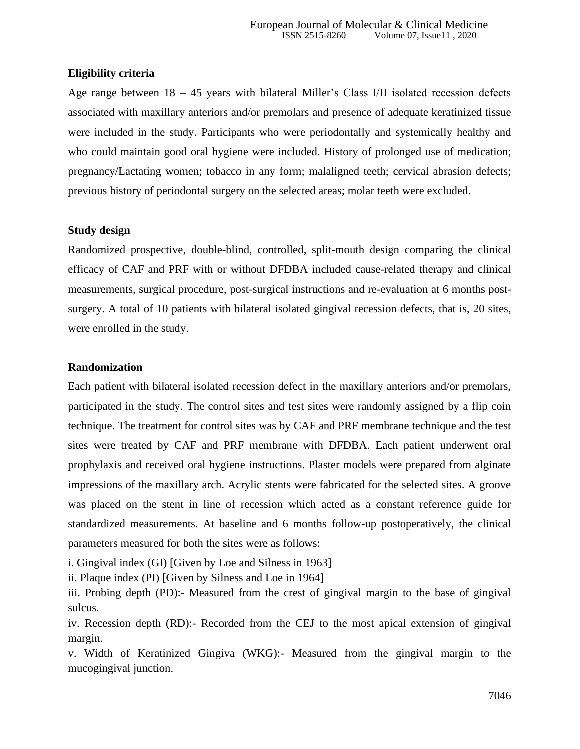### **Eligibility criteria**

Age range between 18 – 45 years with bilateral Miller's Class I/II isolated recession defects associated with maxillary anteriors and/or premolars and presence of adequate keratinized tissue were included in the study. Participants who were periodontally and systemically healthy and who could maintain good oral hygiene were included. History of prolonged use of medication; pregnancy/Lactating women; tobacco in any form; malaligned teeth; cervical abrasion defects; previous history of periodontal surgery on the selected areas; molar teeth were excluded.

### **Study design**

Randomized prospective, double-blind, controlled, split-mouth design comparing the clinical efficacy of CAF and PRF with or without DFDBA included cause-related therapy and clinical measurements, surgical procedure, post-surgical instructions and re-evaluation at 6 months postsurgery. A total of 10 patients with bilateral isolated gingival recession defects, that is, 20 sites, were enrolled in the study.

### **Randomization**

Each patient with bilateral isolated recession defect in the maxillary anteriors and/or premolars, participated in the study. The control sites and test sites were randomly assigned by a flip coin technique. The treatment for control sites was by CAF and PRF membrane technique and the test sites were treated by CAF and PRF membrane with DFDBA. Each patient underwent oral prophylaxis and received oral hygiene instructions. Plaster models were prepared from alginate impressions of the maxillary arch. Acrylic stents were fabricated for the selected sites. A groove was placed on the stent in line of recession which acted as a constant reference guide for standardized measurements. At baseline and 6 months follow-up postoperatively, the clinical parameters measured for both the sites were as follows:

i. Gingival index (GI) [Given by Loe and Silness in 1963]

ii. Plaque index (PI) [Given by Silness and Loe in 1964]

iii. Probing depth (PD):- Measured from the crest of gingival margin to the base of gingival sulcus.

iv. Recession depth (RD):- Recorded from the CEJ to the most apical extension of gingival margin.

v. Width of Keratinized Gingiva (WKG):- Measured from the gingival margin to the mucogingival junction.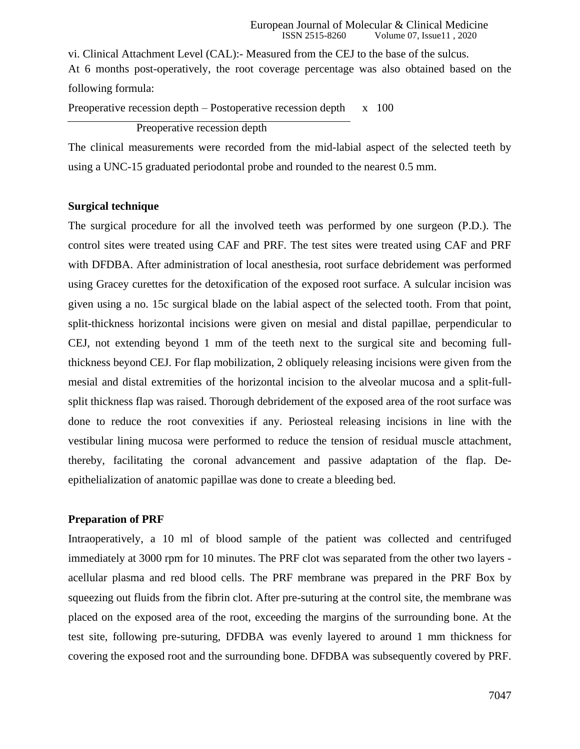vi. Clinical Attachment Level (CAL):- Measured from the CEJ to the base of the sulcus. At 6 months post-operatively, the root coverage percentage was also obtained based on the following formula:

Preoperative recession depth – Postoperative recession depth  $x = 100$ 

Preoperative recession depth

The clinical measurements were recorded from the mid-labial aspect of the selected teeth by using a UNC-15 graduated periodontal probe and rounded to the nearest 0.5 mm.

### **Surgical technique**

The surgical procedure for all the involved teeth was performed by one surgeon (P.D.). The control sites were treated using CAF and PRF. The test sites were treated using CAF and PRF with DFDBA. After administration of local anesthesia, root surface debridement was performed using Gracey curettes for the detoxification of the exposed root surface. A sulcular incision was given using a no. 15c surgical blade on the labial aspect of the selected tooth. From that point, split-thickness horizontal incisions were given on mesial and distal papillae, perpendicular to CEJ, not extending beyond 1 mm of the teeth next to the surgical site and becoming fullthickness beyond CEJ. For flap mobilization, 2 obliquely releasing incisions were given from the mesial and distal extremities of the horizontal incision to the alveolar mucosa and a split-fullsplit thickness flap was raised. Thorough debridement of the exposed area of the root surface was done to reduce the root convexities if any. Periosteal releasing incisions in line with the vestibular lining mucosa were performed to reduce the tension of residual muscle attachment, thereby, facilitating the coronal advancement and passive adaptation of the flap. Deepithelialization of anatomic papillae was done to create a bleeding bed.

## **Preparation of PRF**

Intraoperatively, a 10 ml of blood sample of the patient was collected and centrifuged immediately at 3000 rpm for 10 minutes. The PRF clot was separated from the other two layers acellular plasma and red blood cells. The PRF membrane was prepared in the PRF Box by squeezing out fluids from the fibrin clot. After pre-suturing at the control site, the membrane was placed on the exposed area of the root, exceeding the margins of the surrounding bone. At the test site, following pre-suturing, DFDBA was evenly layered to around 1 mm thickness for covering the exposed root and the surrounding bone. DFDBA was subsequently covered by PRF.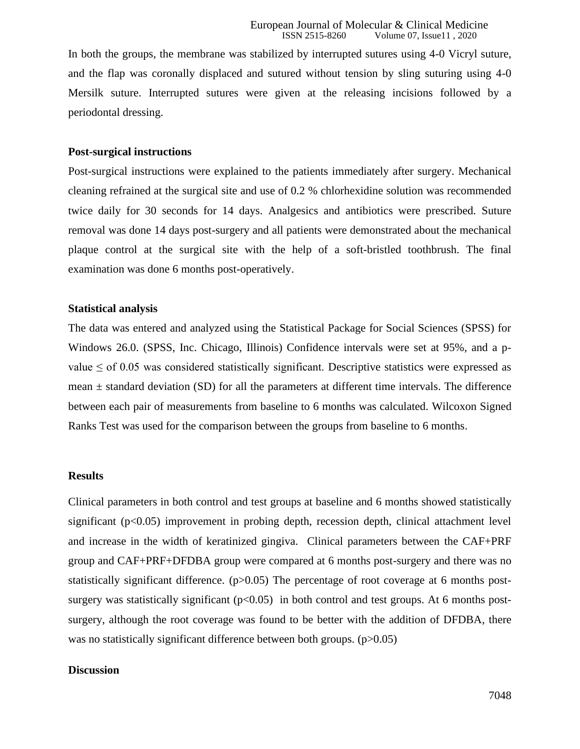In both the groups, the membrane was stabilized by interrupted sutures using 4-0 Vicryl suture, and the flap was coronally displaced and sutured without tension by sling suturing using 4-0 Mersilk suture. Interrupted sutures were given at the releasing incisions followed by a periodontal dressing.

### **Post-surgical instructions**

Post-surgical instructions were explained to the patients immediately after surgery. Mechanical cleaning refrained at the surgical site and use of 0.2 % chlorhexidine solution was recommended twice daily for 30 seconds for 14 days. Analgesics and antibiotics were prescribed. Suture removal was done 14 days post-surgery and all patients were demonstrated about the mechanical plaque control at the surgical site with the help of a soft-bristled toothbrush. The final examination was done 6 months post-operatively.

### **Statistical analysis**

The data was entered and analyzed using the Statistical Package for Social Sciences (SPSS) for Windows 26.0. (SPSS, Inc. Chicago, Illinois) Confidence intervals were set at 95%, and a pvalue  $\leq$  of 0.05 was considered statistically significant. Descriptive statistics were expressed as mean  $\pm$  standard deviation (SD) for all the parameters at different time intervals. The difference between each pair of measurements from baseline to 6 months was calculated. Wilcoxon Signed Ranks Test was used for the comparison between the groups from baseline to 6 months.

#### **Results**

Clinical parameters in both control and test groups at baseline and 6 months showed statistically significant (p<0.05) improvement in probing depth, recession depth, clinical attachment level and increase in the width of keratinized gingiva. Clinical parameters between the CAF+PRF group and CAF+PRF+DFDBA group were compared at 6 months post-surgery and there was no statistically significant difference. (p>0.05) The percentage of root coverage at 6 months postsurgery was statistically significant  $(p<0.05)$  in both control and test groups. At 6 months postsurgery, although the root coverage was found to be better with the addition of DFDBA, there was no statistically significant difference between both groups. (p>0.05)

#### **Discussion**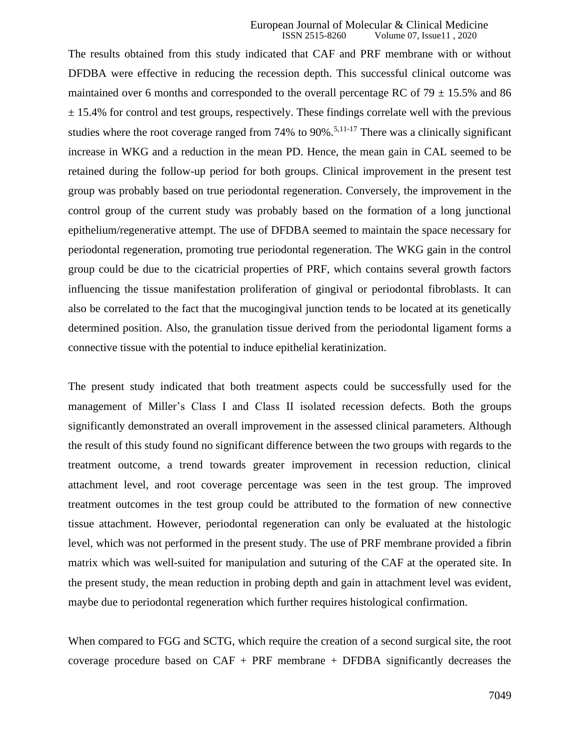The results obtained from this study indicated that CAF and PRF membrane with or without DFDBA were effective in reducing the recession depth. This successful clinical outcome was maintained over 6 months and corresponded to the overall percentage RC of  $79 \pm 15.5\%$  and 86  $\pm$  15.4% for control and test groups, respectively. These findings correlate well with the previous studies where the root coverage ranged from 74% to 90%.<sup>5,11-17</sup> There was a clinically significant increase in WKG and a reduction in the mean PD. Hence, the mean gain in CAL seemed to be retained during the follow-up period for both groups. Clinical improvement in the present test group was probably based on true periodontal regeneration. Conversely, the improvement in the control group of the current study was probably based on the formation of a long junctional epithelium/regenerative attempt. The use of DFDBA seemed to maintain the space necessary for periodontal regeneration, promoting true periodontal regeneration. The WKG gain in the control group could be due to the cicatricial properties of PRF, which contains several growth factors influencing the tissue manifestation proliferation of gingival or periodontal fibroblasts. It can also be correlated to the fact that the mucogingival junction tends to be located at its genetically determined position. Also, the granulation tissue derived from the periodontal ligament forms a connective tissue with the potential to induce epithelial keratinization.

The present study indicated that both treatment aspects could be successfully used for the management of Miller's Class I and Class II isolated recession defects. Both the groups significantly demonstrated an overall improvement in the assessed clinical parameters. Although the result of this study found no significant difference between the two groups with regards to the treatment outcome, a trend towards greater improvement in recession reduction, clinical attachment level, and root coverage percentage was seen in the test group. The improved treatment outcomes in the test group could be attributed to the formation of new connective tissue attachment. However, periodontal regeneration can only be evaluated at the histologic level, which was not performed in the present study. The use of PRF membrane provided a fibrin matrix which was well-suited for manipulation and suturing of the CAF at the operated site. In the present study, the mean reduction in probing depth and gain in attachment level was evident, maybe due to periodontal regeneration which further requires histological confirmation.

When compared to FGG and SCTG, which require the creation of a second surgical site, the root coverage procedure based on  $CAF + PRF$  membrane  $+$  DFDBA significantly decreases the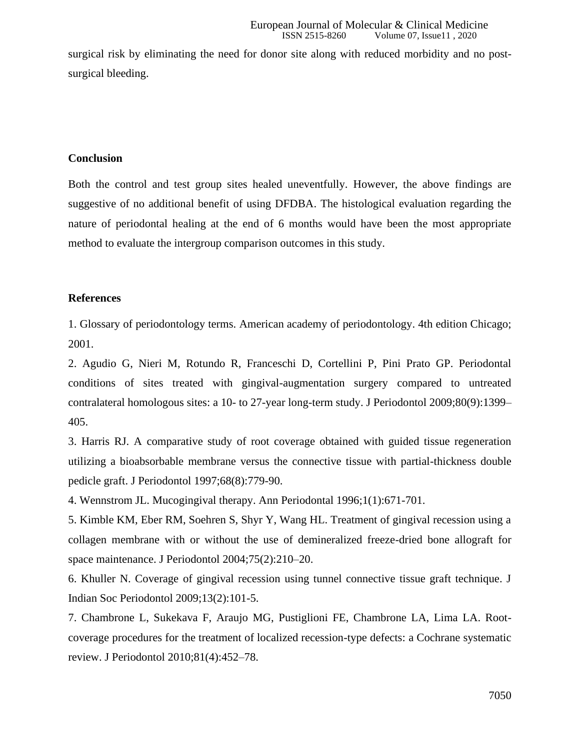surgical risk by eliminating the need for donor site along with reduced morbidity and no postsurgical bleeding.

### **Conclusion**

Both the control and test group sites healed uneventfully. However, the above findings are suggestive of no additional benefit of using DFDBA. The histological evaluation regarding the nature of periodontal healing at the end of 6 months would have been the most appropriate method to evaluate the intergroup comparison outcomes in this study.

### **References**

1. Glossary of periodontology terms. American academy of periodontology. 4th edition Chicago; 2001.

2. Agudio G, Nieri M, Rotundo R, Franceschi D, Cortellini P, Pini Prato GP. Periodontal conditions of sites treated with gingival-augmentation surgery compared to untreated contralateral homologous sites: a 10- to 27-year long-term study. J Periodontol 2009;80(9):1399– 405.

3. Harris RJ. A comparative study of root coverage obtained with guided tissue regeneration utilizing a bioabsorbable membrane versus the connective tissue with partial-thickness double pedicle graft. J Periodontol 1997;68(8):779-90.

4. Wennstrom JL. Mucogingival therapy. Ann Periodontal 1996;1(1):671-701.

5. Kimble KM, Eber RM, Soehren S, Shyr Y, Wang HL. Treatment of gingival recession using a collagen membrane with or without the use of demineralized freeze-dried bone allograft for space maintenance. J Periodontol 2004;75(2):210–20.

6. Khuller N. Coverage of gingival recession using tunnel connective tissue graft technique. J Indian Soc Periodontol 2009;13(2):101-5.

7. Chambrone L, Sukekava F, Araujo MG, Pustiglioni FE, Chambrone LA, Lima LA. Rootcoverage procedures for the treatment of localized recession-type defects: a Cochrane systematic review. J Periodontol 2010;81(4):452–78.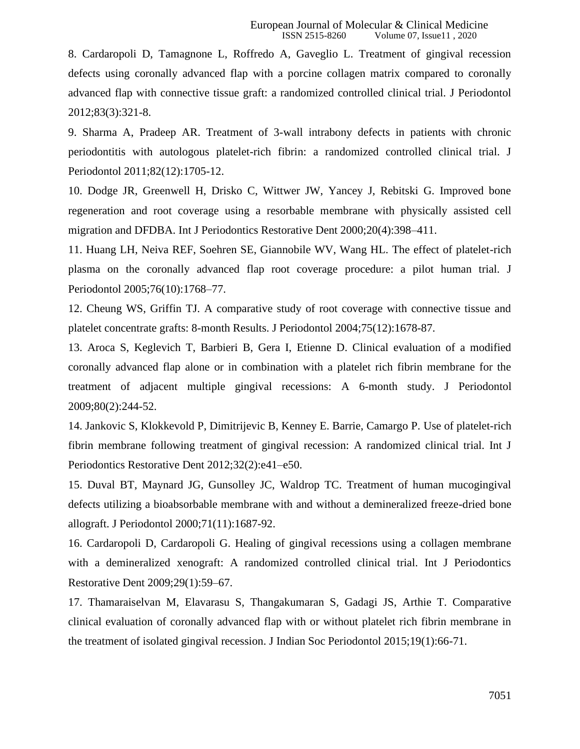8. Cardaropoli D, Tamagnone L, Roffredo A, Gaveglio L. Treatment of gingival recession defects using coronally advanced flap with a porcine collagen matrix compared to coronally advanced flap with connective tissue graft: a randomized controlled clinical trial. J Periodontol 2012;83(3):321-8.

9. Sharma A, Pradeep AR. Treatment of 3-wall intrabony defects in patients with chronic periodontitis with autologous platelet-rich fibrin: a randomized controlled clinical trial. J Periodontol 2011;82(12):1705-12.

10. Dodge JR, Greenwell H, Drisko C, Wittwer JW, Yancey J, Rebitski G. Improved bone regeneration and root coverage using a resorbable membrane with physically assisted cell migration and DFDBA. Int J Periodontics Restorative Dent 2000;20(4):398–411.

11. Huang LH, Neiva REF, Soehren SE, Giannobile WV, Wang HL. The effect of platelet-rich plasma on the coronally advanced flap root coverage procedure: a pilot human trial. J Periodontol 2005;76(10):1768–77.

12. Cheung WS, Griffin TJ. A comparative study of root coverage with connective tissue and platelet concentrate grafts: 8-month Results. J Periodontol 2004;75(12):1678-87.

13. Aroca S, Keglevich T, Barbieri B, Gera I, Etienne D. Clinical evaluation of a modified coronally advanced flap alone or in combination with a platelet rich fibrin membrane for the treatment of adjacent multiple gingival recessions: A 6-month study. J Periodontol 2009;80(2):244-52.

14. Jankovic S, Klokkevold P, Dimitrijevic B, Kenney E. Barrie, Camargo P*.* Use of platelet-rich fibrin membrane following treatment of gingival recession: A randomized clinical trial. Int J Periodontics Restorative Dent 2012;32(2):e41–e50.

15. Duval BT, Maynard JG, Gunsolley JC, Waldrop TC. Treatment of human mucogingival defects utilizing a bioabsorbable membrane with and without a demineralized freeze-dried bone allograft. J Periodontol 2000;71(11):1687-92.

16. Cardaropoli D, Cardaropoli G. Healing of gingival recessions using a collagen membrane with a demineralized xenograft: A randomized controlled clinical trial. Int J Periodontics Restorative Dent 2009;29(1):59–67.

17. Thamaraiselvan M, Elavarasu S, Thangakumaran S, Gadagi JS, Arthie T. Comparative clinical evaluation of coronally advanced flap with or without platelet rich fibrin membrane in the treatment of isolated gingival recession. J Indian Soc Periodontol 2015;19(1):66-71.